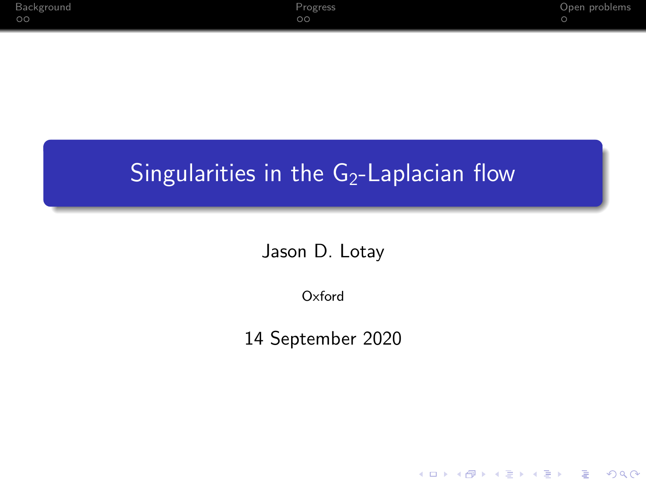K ロ ▶ K 個 ▶ K 할 ▶ K 할 ▶ 이 할 → 9 Q Q →

### <span id="page-0-0"></span>Singularities in the  $G_2$ -Laplacian flow

#### Jason D. Lotay

Oxford

14 September 2020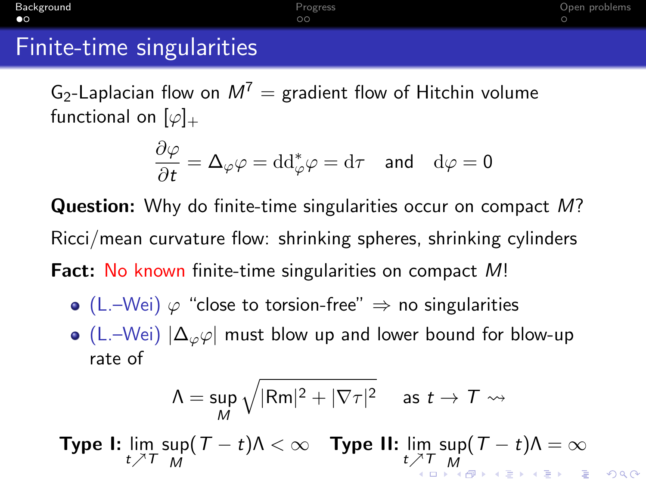ΩÓ

### <span id="page-1-0"></span>Finite-time singularities

G<sub>2</sub>-Laplacian flow on  $M^7$  = gradient flow of Hitchin volume functional on  $[\varphi]_+$ 

$$
\frac{\partial \varphi}{\partial t} = \Delta_{\varphi} \varphi = \mathrm{dd}^*_{\varphi} \varphi = \mathrm{d}\tau \quad \text{and} \quad \mathrm{d}\varphi = 0
$$

Question: Why do finite-time singularities occur on compact M? Ricci/mean curvature flow: shrinking spheres, shrinking cylinders Fact: No known finite-time singularities on compact M!

- $\bullet$  (L.–Wei)  $\varphi$  "close to torsion-free"  $\Rightarrow$  no singularities
- $\bullet$  (L.–Wei)  $|\Delta_{\varphi}\varphi|$  must blow up and lower bound for blow-up rate of

$$
\Lambda = \sup_{M} \sqrt{|\mathsf{Rm}|^2 + |\nabla \tau|^2} \quad \text{ as } t \to \mathcal{T} \leadsto
$$

**Type I:**  $\lim_{t \nearrow T}$  sup M  $(T-t)\Lambda < \infty$  Type II:  $\lim\limits_{t\nearrow T}$  sup [M](#page-0-0)  $(T-t)\Lambda=\infty$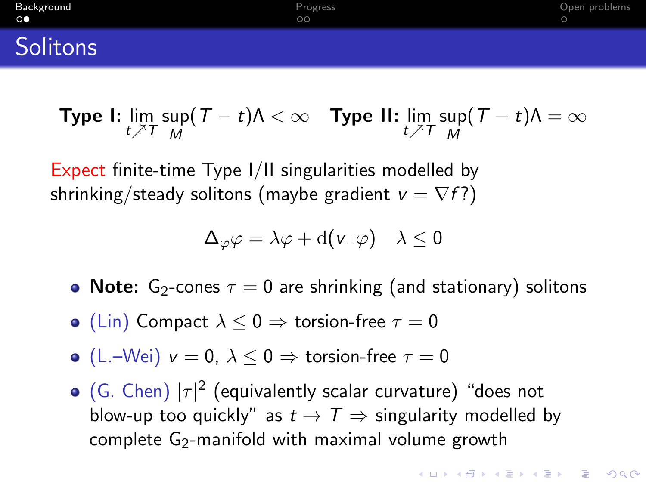ΩÓ

#### <span id="page-2-0"></span>**Solitons**

**Type I:** 
$$
\lim_{t \nearrow T} \sup_M (T - t) \Lambda < \infty
$$
 **Type II:**  $\lim_{t \nearrow T} \sup_M (T - t) \Lambda = \infty$ 

Expect finite-time Type I/II singularities modelled by shrinking/steady solitons (maybe gradient  $v = \nabla f$ ?)

$$
\Delta_{\varphi} \varphi = \lambda \varphi + \mathrm{d}(\nu \lrcorner \varphi) \quad \lambda \leq 0
$$

- Note:  $G_2$ -cones  $\tau = 0$  are shrinking (and stationary) solitons
- (Lin) Compact  $\lambda \leq 0 \Rightarrow$  torsion-free  $\tau = 0$
- (L.–Wei)  $v = 0$ ,  $\lambda \le 0 \Rightarrow$  torsion-free  $\tau = 0$
- (G. Chen)  $|\tau|^2$  (equivalently scalar curvature) "does not blow-up too quickly" as  $t \to T \Rightarrow$  singularity modelled by complete  $G_2$ -manifold with maximal volume growth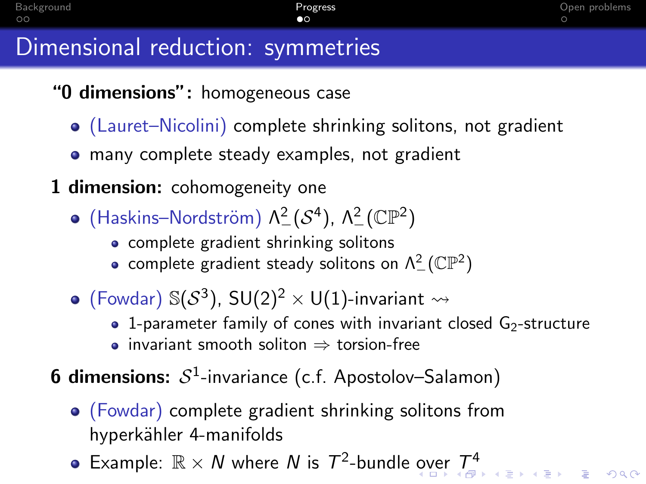### <span id="page-3-0"></span>Dimensional reduction: symmetries

- "0 dimensions": homogeneous case
	- (Lauret–Nicolini) complete shrinking solitons, not gradient
	- **•** many complete steady examples, not gradient
- 1 dimension: cohomogeneity one
	- (Haskins–Nordström)  $\Lambda^2(\mathcal{S}^4)$ ,  $\Lambda^2(\mathbb{CP}^2)$ 
		- complete gradient shrinking solitons
		- complete gradient steady solitons on  $\Lambda_-^2({\mathbb{CP}}^2)$
	- (Fowdar)  $\mathbb{S}(\mathcal{S}^3)$ ,  $\mathsf{SU}(2)^2\times\mathsf{U}(1)$ -invariant  $\leadsto$ 
		- 1-parameter family of cones with invariant closed  $G_2$ -structure
		- invariant smooth soliton  $\Rightarrow$  torsion-free
- **6 dimensions:**  $S^1$ -invariance (c.f. Apostolov–Salamon)
	- (Fowdar) complete gradient shrinking solitons from hyperkähler 4-manifolds
	- Example:  $\mathbb{R} \times N$  wh[er](#page-4-0)e N is  $T^2$  $T^2$ -bundle [ov](#page-2-0)er  $T^4$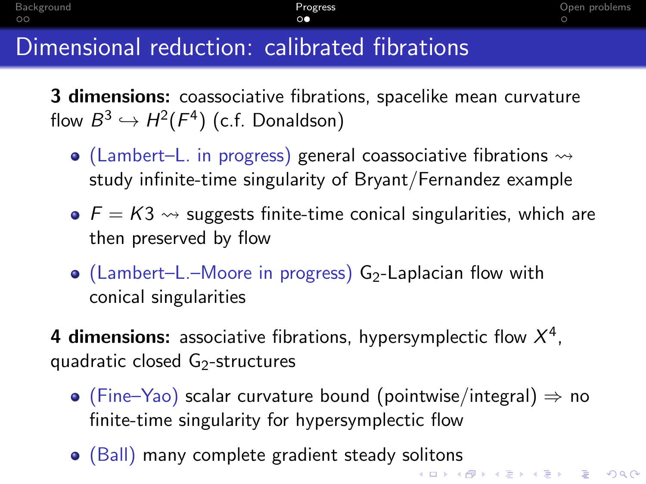## <span id="page-4-0"></span>Dimensional reduction: calibrated fibrations

3 dimensions: coassociative fibrations, spacelike mean curvature flow  $B^3\hookrightarrow H^2(F^4)$  (c.f. Donaldson)

- $\bullet$  (Lambert–L. in progress) general coassociative fibrations  $\rightsquigarrow$ study infinite-time singularity of Bryant/Fernandez example
- $\bullet$   $F = K3 \rightsquigarrow$  suggests finite-time conical singularities, which are then preserved by flow
- $\bullet$  (Lambert–L.–Moore in progress) G<sub>2</sub>-Laplacian flow with conical singularities
- 4 dimensions: associative fibrations, hypersymplectic flow  $X^4$ , quadratic closed G<sub>2</sub>-structures
	- $\bullet$  (Fine–Yao) scalar curvature bound (pointwise/integral)  $\Rightarrow$  no finite-time singularity for hypersymplectic flow
	- (Ball) many complete gradient steady solitons K ロ X K 레 X K 할 X K 할 X 및 할 X 이익(N